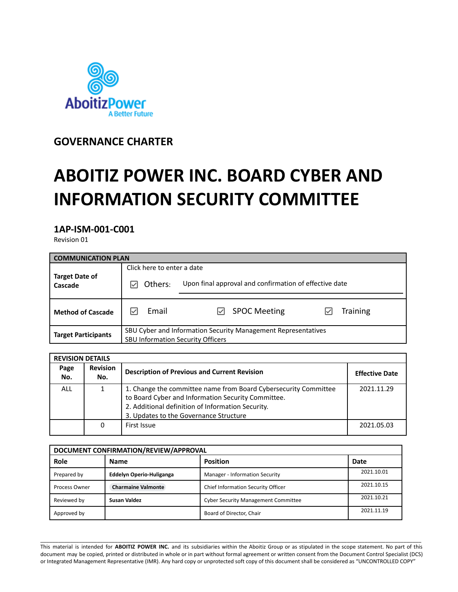

**GOVERNANCE CHARTER**

# **ABOITIZ POWER INC. BOARD CYBER AND INFORMATION SECURITY COMMITTEE**

**1AP-ISM-001-C001**

Revision 01

| <b>COMMUNICATION PLAN</b>        |                                                                                                           |                                                        |  |  |
|----------------------------------|-----------------------------------------------------------------------------------------------------------|--------------------------------------------------------|--|--|
| Click here to enter a date       |                                                                                                           |                                                        |  |  |
| <b>Target Date of</b><br>Cascade | Others:                                                                                                   | Upon final approval and confirmation of effective date |  |  |
| <b>Method of Cascade</b>         | Email                                                                                                     | <b>Training</b><br><b>SPOC Meeting</b>                 |  |  |
| <b>Target Participants</b>       | SBU Cyber and Information Security Management Representatives<br><b>SBU Information Security Officers</b> |                                                        |  |  |

|             | <b>REVISION DETAILS</b> |                                                                                                                                                                                                                      |                       |  |
|-------------|-------------------------|----------------------------------------------------------------------------------------------------------------------------------------------------------------------------------------------------------------------|-----------------------|--|
| Page<br>No. | <b>Revision</b><br>No.  | <b>Description of Previous and Current Revision</b>                                                                                                                                                                  | <b>Effective Date</b> |  |
| <b>ALL</b>  |                         | 1. Change the committee name from Board Cybersecurity Committee<br>to Board Cyber and Information Security Committee.<br>2. Additional definition of Information Security.<br>3. Updates to the Governance Structure | 2021.11.29            |  |
|             | 0                       | First Issue                                                                                                                                                                                                          | 2021.05.03            |  |

| DOCUMENT CONFIRMATION/REVIEW/APPROVAL |                                 |                                            |            |
|---------------------------------------|---------------------------------|--------------------------------------------|------------|
| Role                                  | <b>Name</b>                     | <b>Position</b>                            | Date       |
| Prepared by                           | <b>Eddelyn Operio-Huliganga</b> | Manager - Information Security             | 2021.10.01 |
| Process Owner                         | <b>Charmaine Valmonte</b>       | Chief Information Security Officer         | 2021.10.15 |
| Reviewed by                           | <b>Susan Valdez</b>             | <b>Cyber Security Management Committee</b> | 2021.10.21 |
| Approved by                           |                                 | Board of Director, Chair                   | 2021.11.19 |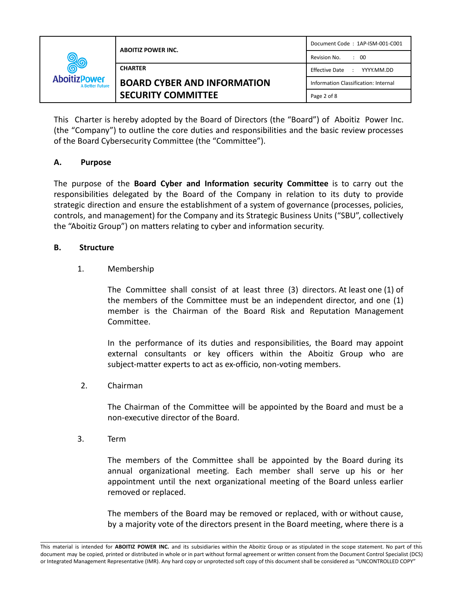| <b>AboitizPower</b><br><b>A Better Future</b> | <b>ABOITIZ POWER INC.</b>          | Document Code: 1AP-ISM-001-C001                |
|-----------------------------------------------|------------------------------------|------------------------------------------------|
|                                               |                                    | Revision No.<br>$\therefore$ 00                |
|                                               | <b>CHARTER</b>                     | Effective Date<br>YYYY.MM.DD<br>$\sim 10^{-1}$ |
|                                               | <b>BOARD CYBER AND INFORMATION</b> | Information Classification: Internal           |
|                                               | <b>SECURITY COMMITTEE</b>          | Page 2 of 8                                    |

This Charter is hereby adopted by the Board of Directors (the "Board") of Aboitiz Power Inc. (the "Company") to outline the core duties and responsibilities and the basic review processes of the Board Cybersecurity Committee (the "Committee").

# **A. Purpose**

The purpose of the **Board Cyber and Information security Committee** is to carry out the responsibilities delegated by the Board of the Company in relation to its duty to provide strategic direction and ensure the establishment of a system of governance (processes, policies, controls, and management) for the Company and its Strategic Business Units ("SBU", collectively the "Aboitiz Group") on matters relating to cyber and information security.

# **B. Structure**

# 1. Membership

The Committee shall consist of at least three (3) directors. At least one (1) of the members of the Committee must be an independent director, and one (1) member is the Chairman of the Board Risk and Reputation Management Committee.

In the performance of its duties and responsibilities, the Board may appoint external consultants or key officers within the Aboitiz Group who are subject-matter experts to act as ex-officio, non-voting members.

# 2. Chairman

The Chairman of the Committee will be appointed by the Board and must be a non-executive director of the Board.

3. Term

The members of the Committee shall be appointed by the Board during its annual organizational meeting. Each member shall serve up his or her appointment until the next organizational meeting of the Board unless earlier removed or replaced.

The members of the Board may be removed or replaced, with or without cause, by a majority vote of the directors present in the Board meeting, where there is a

\_\_\_\_\_\_\_\_\_\_\_\_\_\_\_\_\_\_\_\_\_\_\_\_\_\_\_\_\_\_\_\_\_\_\_\_\_\_\_\_\_\_\_\_\_\_\_\_\_\_\_\_\_\_\_\_\_\_\_\_\_\_\_\_\_\_\_\_\_\_\_\_\_\_\_\_\_\_\_\_\_\_\_\_\_\_\_\_\_\_\_\_\_\_\_\_\_\_\_\_\_\_\_\_\_\_\_\_\_\_\_\_\_\_\_\_\_\_\_\_\_\_\_\_\_\_\_\_ This material is intended for **ABOITIZ POWER INC.** and its subsidiaries within the Aboitiz Group or as stipulated in the scope statement. No part of this document may be copied, printed or distributed in whole or in part without formal agreement or written consent from the Document Control Specialist (DCS) or Integrated Management Representative (IMR). Any hard copy or unprotected soft copy of this document shall be considered as "UNCONTROLLED COPY"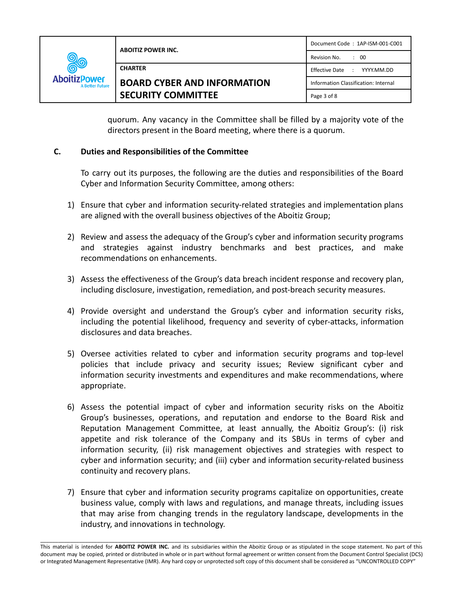| <b>RO</b><br><b>AboitizPower</b><br><b>A Better Future</b> | <b>ABOITIZ POWER INC.</b>          | Document Code: 1AP-ISM-001-C001      |
|------------------------------------------------------------|------------------------------------|--------------------------------------|
|                                                            |                                    | Revision No.<br>$\therefore$ 00      |
|                                                            | <b>CHARTER</b>                     | Effective Date : YYYY.MM.DD          |
|                                                            | <b>BOARD CYBER AND INFORMATION</b> | Information Classification: Internal |
|                                                            | <b>SECURITY COMMITTEE</b>          | Page 3 of 8                          |

quorum. Any vacancy in the Committee shall be filled by a majority vote of the directors present in the Board meeting, where there is a quorum.

# **C. Duties and Responsibilities of the Committee**

To carry out its purposes, the following are the duties and responsibilities of the Board Cyber and Information Security Committee, among others:

- 1) Ensure that cyber and information security-related strategies and implementation plans are aligned with the overall business objectives of the Aboitiz Group;
- 2) Review and assess the adequacy of the Group's cyber and information security programs and strategies against industry benchmarks and best practices, and make recommendations on enhancements.
- 3) Assess the effectiveness of the Group's data breach incident response and recovery plan, including disclosure, investigation, remediation, and post-breach security measures.
- 4) Provide oversight and understand the Group's cyber and information security risks, including the potential likelihood, frequency and severity of cyber-attacks, information disclosures and data breaches.
- 5) Oversee activities related to cyber and information security programs and top-level policies that include privacy and security issues; Review significant cyber and information security investments and expenditures and make recommendations, where appropriate.
- 6) Assess the potential impact of cyber and information security risks on the Aboitiz Group's businesses, operations, and reputation and endorse to the Board Risk and Reputation Management Committee, at least annually, the Aboitiz Group's: (i) risk appetite and risk tolerance of the Company and its SBUs in terms of cyber and information security, (ii) risk management objectives and strategies with respect to cyber and information security; and (iii) cyber and information security-related business continuity and recovery plans.
- 7) Ensure that cyber and information security programs capitalize on opportunities, create business value, comply with laws and regulations, and manage threats, including issues that may arise from changing trends in the regulatory landscape, developments in the industry, and innovations in technology.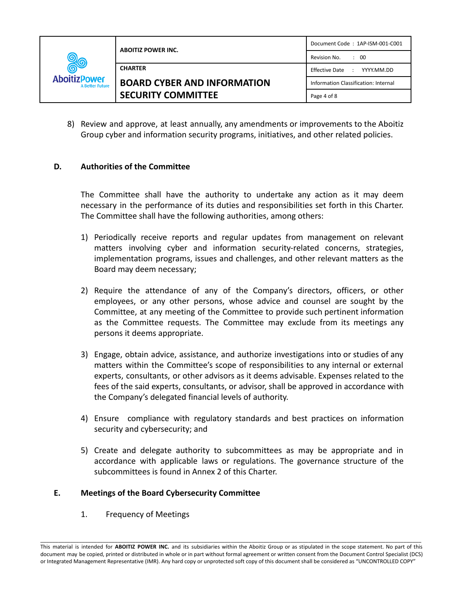| <b>AboitizPower</b><br><b>A Better Future</b> | <b>ABOITIZ POWER INC.</b>          | Document Code: 1AP-ISM-001-C001      |
|-----------------------------------------------|------------------------------------|--------------------------------------|
|                                               |                                    | Revision No.<br>$\therefore$ 00      |
|                                               | <b>CHARTER</b>                     | <b>Effective Date</b><br>YYYY.MM.DD  |
|                                               | <b>BOARD CYBER AND INFORMATION</b> | Information Classification: Internal |
|                                               | <b>SECURITY COMMITTEE</b>          | Page 4 of 8                          |

8) Review and approve, at least annually, any amendments or improvements to the Aboitiz Group cyber and information security programs, initiatives, and other related policies.

# **D. Authorities of the Committee**

The Committee shall have the authority to undertake any action as it may deem necessary in the performance of its duties and responsibilities set forth in this Charter. The Committee shall have the following authorities, among others:

- 1) Periodically receive reports and regular updates from management on relevant matters involving cyber and information security-related concerns, strategies, implementation programs, issues and challenges, and other relevant matters as the Board may deem necessary;
- 2) Require the attendance of any of the Company's directors, officers, or other employees, or any other persons, whose advice and counsel are sought by the Committee, at any meeting of the Committee to provide such pertinent information as the Committee requests. The Committee may exclude from its meetings any persons it deems appropriate.
- 3) Engage, obtain advice, assistance, and authorize investigations into or studies of any matters within the Committee's scope of responsibilities to any internal or external experts, consultants, or other advisors as it deems advisable. Expenses related to the fees of the said experts, consultants, or advisor, shall be approved in accordance with the Company's delegated financial levels of authority.
- 4) Ensure compliance with regulatory standards and best practices on information security and cybersecurity; and
- 5) Create and delegate authority to subcommittees as may be appropriate and in accordance with applicable laws or regulations. The governance structure of the subcommittees is found in Annex 2 of this Charter.

# **E. Meetings of the Board Cybersecurity Committee**

1. Frequency of Meetings

\_\_\_\_\_\_\_\_\_\_\_\_\_\_\_\_\_\_\_\_\_\_\_\_\_\_\_\_\_\_\_\_\_\_\_\_\_\_\_\_\_\_\_\_\_\_\_\_\_\_\_\_\_\_\_\_\_\_\_\_\_\_\_\_\_\_\_\_\_\_\_\_\_\_\_\_\_\_\_\_\_\_\_\_\_\_\_\_\_\_\_\_\_\_\_\_\_\_\_\_\_\_\_\_\_\_\_\_\_\_\_\_\_\_\_\_\_\_\_\_\_\_\_\_\_\_\_\_ This material is intended for **ABOITIZ POWER INC.** and its subsidiaries within the Aboitiz Group or as stipulated in the scope statement. No part of this document may be copied, printed or distributed in whole or in part without formal agreement or written consent from the Document Control Specialist (DCS) or Integrated Management Representative (IMR). Any hard copy or unprotected soft copy of this document shall be considered as "UNCONTROLLED COPY"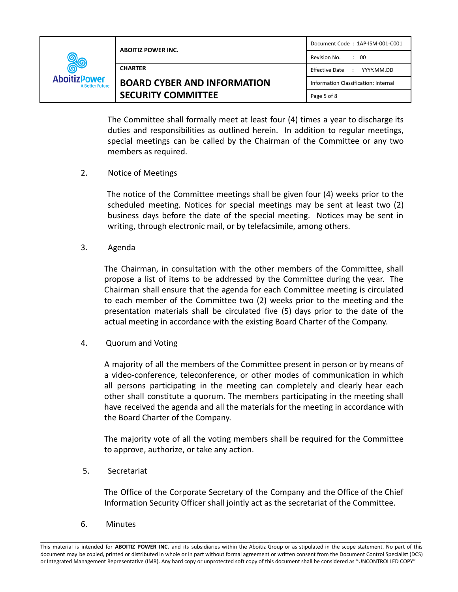| 0<br>zPower<br><b>A Better Future</b> | <b>ABOITIZ POWER INC.</b>          | Document Code: 1AP-ISM-001-C001      |
|---------------------------------------|------------------------------------|--------------------------------------|
|                                       |                                    | Revision No.<br>$\therefore$ 00      |
|                                       | <b>CHARTER</b>                     | Effective Date : YYYY.MM.DD          |
|                                       | <b>BOARD CYBER AND INFORMATION</b> | Information Classification: Internal |
|                                       | <b>SECURITY COMMITTEE</b>          | Page 5 of 8                          |

The Committee shall formally meet at least four (4) times a year to discharge its duties and responsibilities as outlined herein. In addition to regular meetings, special meetings can be called by the Chairman of the Committee or any two members as required.

2. Notice of Meetings

The notice of the Committee meetings shall be given four (4) weeks prior to the scheduled meeting. Notices for special meetings may be sent at least two (2) business days before the date of the special meeting. Notices may be sent in writing, through electronic mail, or by telefacsimile, among others.

3. Agenda

Aboiti

The Chairman, in consultation with the other members of the Committee, shall propose a list of items to be addressed by the Committee during the year. The Chairman shall ensure that the agenda for each Committee meeting is circulated to each member of the Committee two (2) weeks prior to the meeting and the presentation materials shall be circulated five (5) days prior to the date of the actual meeting in accordance with the existing Board Charter of the Company.

4. Quorum and Voting

A majority of all the members of the Committee present in person or by means of a video-conference, teleconference, or other modes of communication in which all persons participating in the meeting can completely and clearly hear each other shall constitute a quorum. The members participating in the meeting shall have received the agenda and all the materials for the meeting in accordance with the Board Charter of the Company.

The majority vote of all the voting members shall be required for the Committee to approve, authorize, or take any action.

5. Secretariat

The Office of the Corporate Secretary of the Company and the Office of the Chief Information Security Officer shall jointly act as the secretariat of the Committee.

6. Minutes

\_\_\_\_\_\_\_\_\_\_\_\_\_\_\_\_\_\_\_\_\_\_\_\_\_\_\_\_\_\_\_\_\_\_\_\_\_\_\_\_\_\_\_\_\_\_\_\_\_\_\_\_\_\_\_\_\_\_\_\_\_\_\_\_\_\_\_\_\_\_\_\_\_\_\_\_\_\_\_\_\_\_\_\_\_\_\_\_\_\_\_\_\_\_\_\_\_\_\_\_\_\_\_\_\_\_\_\_\_\_\_\_\_\_\_\_\_\_\_\_\_\_\_\_\_\_\_\_ This material is intended for **ABOITIZ POWER INC.** and its subsidiaries within the Aboitiz Group or as stipulated in the scope statement. No part of this document may be copied, printed or distributed in whole or in part without formal agreement or written consent from the Document Control Specialist (DCS) or Integrated Management Representative (IMR). Any hard copy or unprotected soft copy of this document shall be considered as "UNCONTROLLED COPY"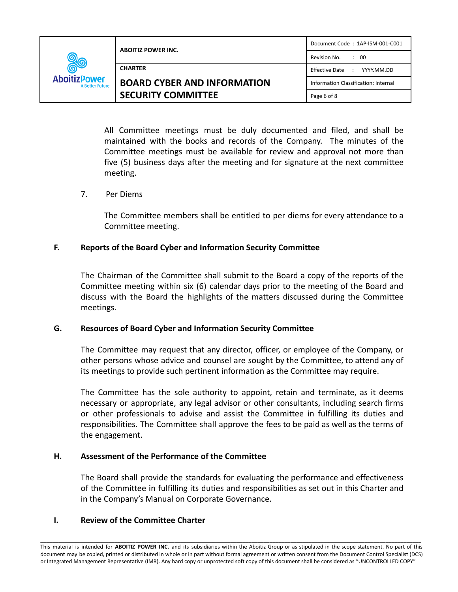| <u> ಲೀ</u><br><b>AboitizPower</b><br><b>A Better Future</b> | <b>ABOITIZ POWER INC.</b>          | Document Code: 1AP-ISM-001-C001      |
|-------------------------------------------------------------|------------------------------------|--------------------------------------|
|                                                             |                                    | Revision No.<br>$\therefore$ 00      |
|                                                             | <b>CHARTER</b>                     | Effective Date : YYYY.MM.DD          |
|                                                             | <b>BOARD CYBER AND INFORMATION</b> | Information Classification: Internal |
|                                                             | <b>SECURITY COMMITTEE</b>          | Page 6 of 8                          |

All Committee meetings must be duly documented and filed, and shall be maintained with the books and records of the Company. The minutes of the Committee meetings must be available for review and approval not more than five (5) business days after the meeting and for signature at the next committee meeting.

# 7. Per Diems

The Committee members shall be entitled to per diems for every attendance to a Committee meeting.

# **F. Reports of the Board Cyber and Information Security Committee**

The Chairman of the Committee shall submit to the Board a copy of the reports of the Committee meeting within six (6) calendar days prior to the meeting of the Board and discuss with the Board the highlights of the matters discussed during the Committee meetings.

# **G. Resources of Board Cyber and Information Security Committee**

The Committee may request that any director, officer, or employee of the Company, or other persons whose advice and counsel are sought by the Committee, to attend any of its meetings to provide such pertinent information as the Committee may require.

The Committee has the sole authority to appoint, retain and terminate, as it deems necessary or appropriate, any legal advisor or other consultants, including search firms or other professionals to advise and assist the Committee in fulfilling its duties and responsibilities. The Committee shall approve the fees to be paid as well as the terms of the engagement.

# **H. Assessment of the Performance of the Committee**

The Board shall provide the standards for evaluating the performance and effectiveness of the Committee in fulfilling its duties and responsibilities as set out in this Charter and in the Company's Manual on Corporate Governance.

# **I. Review of the Committee Charter**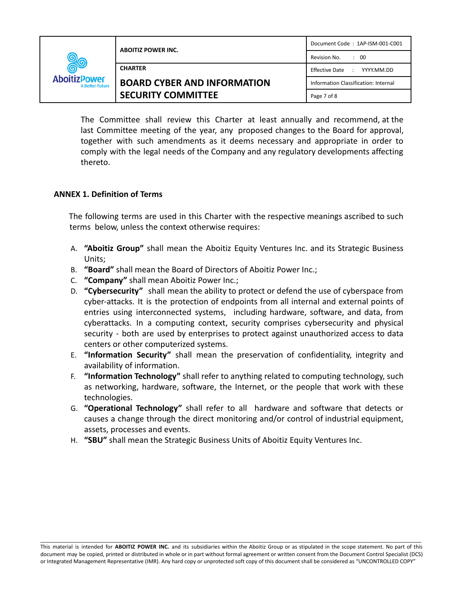| <u> ಖ್ಯ</u><br><b>AboitizPower</b><br><b>A Better Future</b> | <b>ABOITIZ POWER INC.</b>          | Document Code: 1AP-ISM-001-C001                |
|--------------------------------------------------------------|------------------------------------|------------------------------------------------|
|                                                              |                                    | Revision No.<br>$\therefore$ 00                |
|                                                              | <b>CHARTER</b>                     | Effective Date<br>$\mathbb{R}^n$<br>YYYY.MM.DD |
|                                                              | <b>BOARD CYBER AND INFORMATION</b> | Information Classification: Internal           |
|                                                              | <b>SECURITY COMMITTEE</b>          | Page 7 of 8                                    |

The Committee shall review this Charter at least annually and recommend, at the last Committee meeting of the year, any proposed changes to the Board for approval, together with such amendments as it deems necessary and appropriate in order to comply with the legal needs of the Company and any regulatory developments affecting thereto.

#### **ANNEX 1. Definition of Terms**

The following terms are used in this Charter with the respective meanings ascribed to such terms below, unless the context otherwise requires:

- A. **"Aboitiz Group"** shall mean the Aboitiz Equity Ventures Inc. and its Strategic Business Units;
- B. **"Board"** shall mean the Board of Directors of Aboitiz Power Inc.;
- C. **"Company"** shall mean Aboitiz Power Inc.;
- D. **"Cybersecurity"** shall mean the ability to protect or defend the use of cyberspace from cyber-attacks. It is the protection of endpoints from all internal and external points of entries using interconnected systems, including hardware, software, and data, from cyberattacks. In a computing context, security comprises cybersecurity and physical security - both are used by enterprises to protect against unauthorized access to data centers or other computerized systems.
- E. **"Information Security"** shall mean the preservation of confidentiality, integrity and availability of information.
- F. **"Information Technology"** shall refer to anything related to computing technology, such as networking, hardware, software, the Internet, or the people that work with these technologies.
- G. **"Operational Technology"** shall refer to all hardware and software that detects or causes a change through the direct monitoring and/or control of industrial equipment, assets, processes and events.
- H. **"SBU"** shall mean the Strategic Business Units of Aboitiz Equity Ventures Inc.